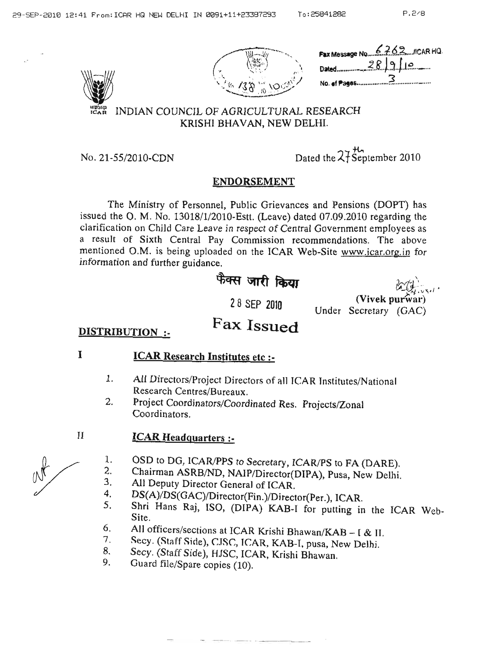



## INDIAN COUNCIL OF AGRICULTURAL RESEARCH KRISHI BHAVAN, NEW

No. 21-55/2010-CDN

| :W DELHI.                     |  |
|-------------------------------|--|
|                               |  |
| Dated the $27$ September 2010 |  |

# **ENDORSEMENT**

The Ministry of Personnel, Public Grievances and Pensions (DOPT) has issued the O. M. No. 13018/1/2010-Estt. (Leave) dated 07.09.2010 regarding the clarification on Child Care Leave in respect of Central Government employees as a result of Sixth Central Pay Commission recommendations. The above mentioned O.M. is being uploaded on the ICAR Web-Site www.icar.org.in for information and further guidance.

# फैक्स जारी किया

b (2)

28 SEP 2010

Fax Issued

| (Vivek purwar)        |  |
|-----------------------|--|
| Under Secretary (GAC) |  |

# **DISTRIBUTION :-**

I

 $\mathbf{I}$ 

# **ICAR Research Institutes etc :-**

- All Directors/Project Directors of all ICAR Institutes/National 1. Research Centres/Bureaux.
- Project Coordinators/Coordinated Res. Projects/Zonal 2. Coordinators.

## **ICAR Headquarters :-**

- OSD to DG, ICAR/PPS to Secretary, ICAR/PS to FA (DARE). 1.
- Chairman ASRB/ND, NAIP/Director(DIPA), Pusa, New Delhi.  $2.$
- 3. All Deputy Director General of ICAR.
- DS(A)/DS(GAC)/Director(Fin.)/Director(Per.), ICAR.  $4.$
- 5. Shri Hans Raj, ISO, (DIPA) KAB-I for putting in the ICAR Web-Site.
- All officers/sections at ICAR Krishi Bhawan/KAB [ & II. 6.
- Secy. (Staff Side), CJSC, ICAR, KAB-I, pusa, New Delhi. 7.
- Secy. (Staff Side), HJSC, ICAR, Krishi Bhawan. 8.
- 9. Guard file/Spare copies (10).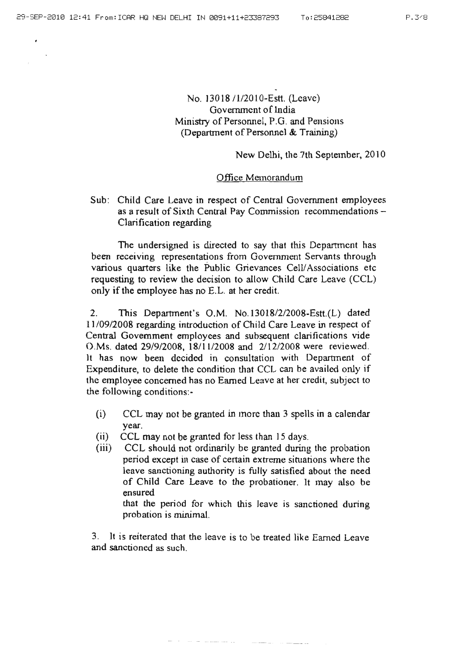$\epsilon$ 

### No. *]3018* 11/2010-Estt. (Leave) Government of India Ministry of Personnel, P.G. and Pensions (Department of Personnel & Training)

#### New Delhi. the 7th September, 2010

#### Office Memorandum

Sub: Child Care Leave in respect of Central Government employees as a result of Sixth Central Pay Commission recommendations-Clarification regarding

The undersigned is directed to say that this Department has been receiving representations from Government Servants through various quarters like the Public Grievances Cell/Associations etc requesting to review the decision to allow Child Care Leave (CCL) only if the employee has no E.L. at her credit.

2. This Department's O.M. No.13018/2/2008-Estt.(L) dated *11/09/2008* regarding introduction of Child Care Leave in respect of Central Government employees and subsequent clarifications vide O.Ms. dated *29/9/2008,* 18/1112008 and *211212008* were reviewed. It has now been decided in consultation with Department of Expenditure, to delete the condition that CCL can be availed only if the employee concerned has no Earned Leave at her credit, subject to the following conditions:-

- $(i)$  CCL may not be granted in more than 3 spells in a calendar year.
- (ii) CCL may not be granted for less than  $15$  days.
- (iii) CCL should not ordinarily be granted during the probation period except in case of certain extreme situations where the leave sanctioning authority is fu1ly satisfied about the need of Child Care Leave to the probationer. It may also be ensured that the period for which this leave is sanctioned during

probation is minimal.

3. It is reiterated that the leave is to be treated like Earned Leave and sanctioned as such.